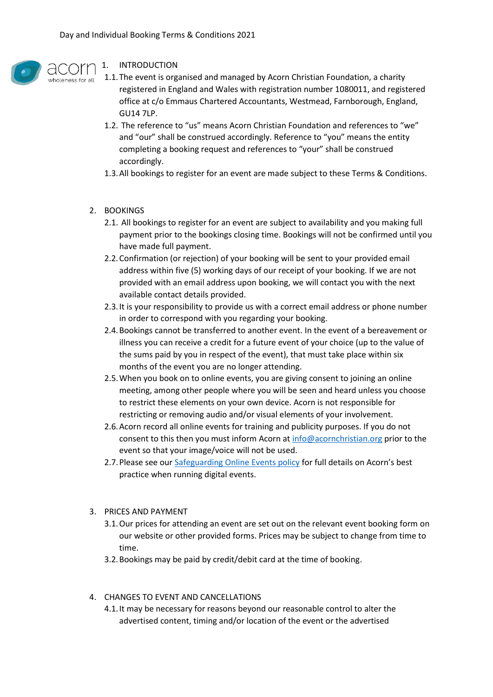

## 1. INTRODUCTION

- 1.1.The event is organised and managed by Acorn Christian Foundation, a charity registered in England and Wales with registration number 1080011, and registered office at c/o Emmaus Chartered Accountants, Westmead, Farnborough, England, GU14 7LP.
	- 1.2. The reference to "us" means Acorn Christian Foundation and references to "we" and "our" shall be construed accordingly. Reference to "you" means the entity completing a booking request and references to "your" shall be construed accordingly.
	- 1.3.All bookings to register for an event are made subject to these Terms & Conditions.
- 2. BOOKINGS
	- 2.1. All bookings to register for an event are subject to availability and you making full payment prior to the bookings closing time. Bookings will not be confirmed until you have made full payment.
	- 2.2.Confirmation (or rejection) of your booking will be sent to your provided email address within five (5) working days of our receipt of your booking. If we are not provided with an email address upon booking, we will contact you with the next available contact details provided.
	- 2.3.It is your responsibility to provide us with a correct email address or phone number in order to correspond with you regarding your booking.
	- 2.4.Bookings cannot be transferred to another event. In the event of a bereavement or illness you can receive a credit for a future event of your choice (up to the value of the sums paid by you in respect of the event), that must take place within six months of the event you are no longer attending.
	- 2.5.When you book on to online events, you are giving consent to joining an online meeting, among other people where you will be seen and heard unless you choose to restrict these elements on your own device. Acorn is not responsible for restricting or removing audio and/or visual elements of your involvement.
	- 2.6.Acorn record all online events for training and publicity purposes. If you do not consent to this then you must inform Acorn at [info@acornchristian.org](mailto:info@acornchristian.org) prior to the event so that your image/voice will not be used.
	- 2.7.Please see our [Safeguarding Online Events policy](https://img1.wsimg.com/blobby/go/fd38c95c-90a0-453e-a4d9-2de0386b34e6/downloads/Safeguarding%20and%20Best%20Practice%20Online.pdf?ver=1590585658968) for full details on Acorn's best practice when running digital events.
- 3. PRICES AND PAYMENT
	- 3.1.Our prices for attending an event are set out on the relevant event booking form on our website or other provided forms. Prices may be subject to change from time to time.
	- 3.2.Bookings may be paid by credit/debit card at the time of booking.
- 4. CHANGES TO EVENT AND CANCELLATIONS
	- 4.1.It may be necessary for reasons beyond our reasonable control to alter the advertised content, timing and/or location of the event or the advertised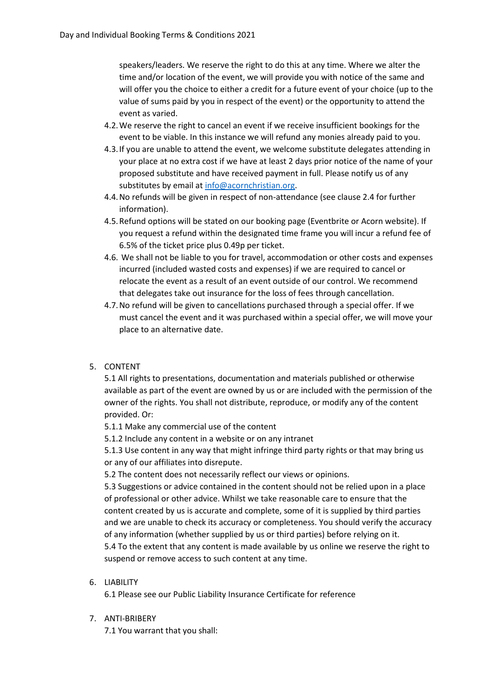speakers/leaders. We reserve the right to do this at any time. Where we alter the time and/or location of the event, we will provide you with notice of the same and will offer you the choice to either a credit for a future event of your choice (up to the value of sums paid by you in respect of the event) or the opportunity to attend the event as varied.

- 4.2.We reserve the right to cancel an event if we receive insufficient bookings for the event to be viable. In this instance we will refund any monies already paid to you.
- 4.3.If you are unable to attend the event, we welcome substitute delegates attending in your place at no extra cost if we have at least 2 days prior notice of the name of your proposed substitute and have received payment in full. Please notify us of any substitutes by email a[t info@acornchristian.org.](mailto:info@acornchristian.org)
- 4.4.No refunds will be given in respect of non-attendance (see clause 2.4 for further information).
- 4.5.Refund options will be stated on our booking page (Eventbrite or Acorn website). If you request a refund within the designated time frame you will incur a refund fee of 6.5% of the ticket price plus 0.49p per ticket.
- 4.6. We shall not be liable to you for travel, accommodation or other costs and expenses incurred (included wasted costs and expenses) if we are required to cancel or relocate the event as a result of an event outside of our control. We recommend that delegates take out insurance for the loss of fees through cancellation.
- 4.7.No refund will be given to cancellations purchased through a special offer. If we must cancel the event and it was purchased within a special offer, we will move your place to an alternative date.
- 5. CONTENT

5.1 All rights to presentations, documentation and materials published or otherwise available as part of the event are owned by us or are included with the permission of the owner of the rights. You shall not distribute, reproduce, or modify any of the content provided. Or:

5.1.1 Make any commercial use of the content

5.1.2 Include any content in a website or on any intranet

5.1.3 Use content in any way that might infringe third party rights or that may bring us or any of our affiliates into disrepute.

5.2 The content does not necessarily reflect our views or opinions.

5.3 Suggestions or advice contained in the content should not be relied upon in a place of professional or other advice. Whilst we take reasonable care to ensure that the content created by us is accurate and complete, some of it is supplied by third parties and we are unable to check its accuracy or completeness. You should verify the accuracy of any information (whether supplied by us or third parties) before relying on it. 5.4 To the extent that any content is made available by us online we reserve the right to suspend or remove access to such content at any time.

## 6. LIABILITY

6.1 Please see our Public Liability Insurance Certificate for reference

## 7. ANTI-BRIBERY

7.1 You warrant that you shall: